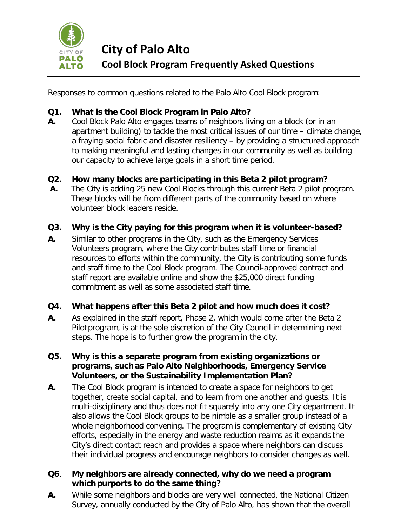

**City of Palo Alto Cool Block Program Frequently Asked Questions** 

Responses to common questions related to the Palo Alto Cool Block program:

# **Q1. What is the Cool Block Program in Palo Alto?**

- **A.** Cool Block Palo Alto engages teams of neighbors living on a block (or in an apartment building) to tackle the most critical issues of our time – climate change, a fraying social fabric and disaster resiliency – by providing a structured approach to making meaningful and lasting changes in our community as well as building our capacity to achieve large goals in a short time period.
- **Q2. How many blocks are participating in this Beta 2 pilot program?**
- **A.** The City is adding 25 new Cool Blocks through this current Beta 2 pilot program. These blocks will be from different parts of the community based on where volunteer block leaders reside.

## **Q3. Why is the City paying for this program when it is volunteer-based?**

**A.** Similar to other programs in the City, such as the Emergency Services Volunteers program, where the City contributes staff time or financial resources to efforts within the community, the City is contributing some funds and staff time to the Cool Block program. The Council-approved contract and staff report are available online and show the \$25,000 direct funding commitment as well as some associated staff time.

## **Q4. What happens after this Beta 2 pilot and how much does it cost?**

**A.** As explained in the staff report, Phase 2, which would come after the Beta 2 Pilot program, is at the sole discretion of the City Council in determining next steps. The hope is to further grow the program in the city.

### **Q5. Why is this a separate program from existing organizations or programs, such as Palo Alto Neighborhoods, Emergency Service Volunteers, or the Sustainability Implementation Plan?**

**A.** The Cool Block program is intended to create a space for neighbors to get together, create social capital, and to learn from one another and guests. It is multi-disciplinary and thus does not fit squarely into any one City department. It also allows the Cool Block groups to be nimble as a smaller group instead of a whole neighborhood convening. The program is complementary of existing City efforts, especially in the energy and waste reduction realms as it expands the City's direct contact reach and provides a space where neighbors can discuss their individual progress and encourage neighbors to consider changes as well.

### **Q6**. **My neighbors are already connected, why do we need a program whichpurports to do the same thing?**

**A.** While some neighbors and blocks are very well connected, the National Citizen Survey, annually conducted by the City of Palo Alto, has shown that the overall